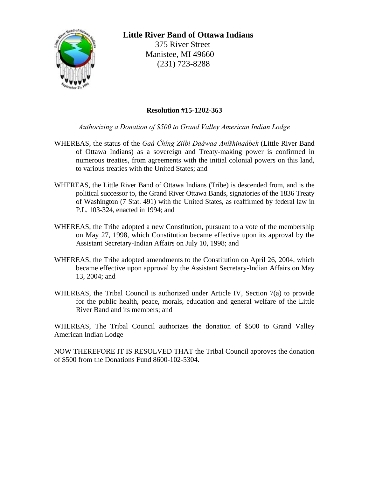

## **Little River Band of Ottawa Indians**

 375 River Street Manistee, MI 49660 (231) 723-8288

## **Resolution #15-1202-363**

*Authorizing a Donation of \$500 to Grand Valley American Indian Lodge*

- WHEREAS, the status of the *Gaá Čhíng Ziíbi Daáwaa Aníšhinaábek* (Little River Band of Ottawa Indians) as a sovereign and Treaty-making power is confirmed in numerous treaties, from agreements with the initial colonial powers on this land, to various treaties with the United States; and
- WHEREAS, the Little River Band of Ottawa Indians (Tribe) is descended from, and is the political successor to, the Grand River Ottawa Bands, signatories of the 1836 Treaty of Washington (7 Stat. 491) with the United States, as reaffirmed by federal law in P.L. 103-324, enacted in 1994; and
- WHEREAS, the Tribe adopted a new Constitution, pursuant to a vote of the membership on May 27, 1998, which Constitution became effective upon its approval by the Assistant Secretary-Indian Affairs on July 10, 1998; and
- WHEREAS, the Tribe adopted amendments to the Constitution on April 26, 2004, which became effective upon approval by the Assistant Secretary-Indian Affairs on May 13, 2004; and
- WHEREAS, the Tribal Council is authorized under Article IV, Section 7(a) to provide for the public health, peace, morals, education and general welfare of the Little River Band and its members; and

WHEREAS, The Tribal Council authorizes the donation of \$500 to Grand Valley American Indian Lodge

NOW THEREFORE IT IS RESOLVED THAT the Tribal Council approves the donation of \$500 from the Donations Fund 8600-102-5304.